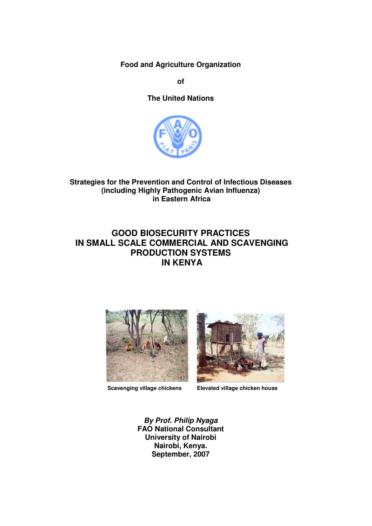**Food and Agriculture Organization** 

**of** 

**The United Nations** 



**Strategies for the Prevention and Control of Infectious Diseases (including Highly Pathogenic Avian Influenza) in Eastern Africa** 

# **GOOD BIOSECURITY PRACTICES IN SMALL SCALE COMMERCIAL AND SCAVENGING PRODUCTION SYSTEMS IN KENYA**





 **Scavenging village chickens Elevated village chicken house** 

**By Prof. Philip Nyaga FAO National Consultant University of Nairobi Nairobi, Kenya. September, 2007**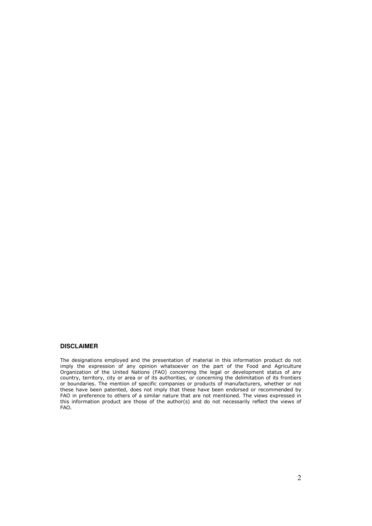#### **DISCLAIMER**

The designations employed and the presentation of material in this information product do not imply the expression of any opinion whatsoever on the part of the Food and Agriculture Organization of the United Nations (FAO) concerning the legal or development status of any country, territory, city or area or of its authorities, or concerning the delimitation of its frontiers or boundaries. The mention of specific companies or products of manufacturers, whether or not these have been patented, does not imply that these have been endorsed or recommended by FAO in preference to others of a similar nature that are not mentioned. The views expressed in this information product are those of the author(s) and do not necessarily reflect the views of FAO.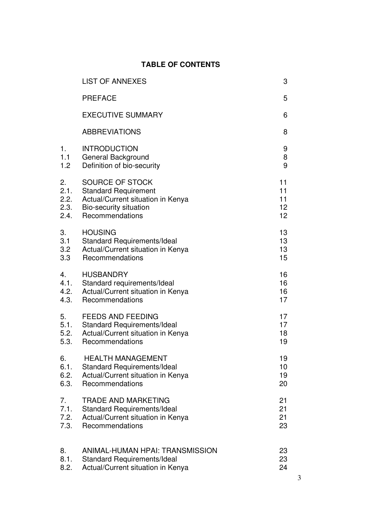# **TABLE OF CONTENTS**

|      | <b>LIST OF ANNEXES</b>             | 3               |
|------|------------------------------------|-----------------|
|      | <b>PREFACE</b>                     | 5               |
|      | <b>EXECUTIVE SUMMARY</b>           | 6               |
|      | <b>ABBREVIATIONS</b>               | 8               |
| 1.   | <b>INTRODUCTION</b>                | 9               |
| 1.1  | General Background                 | 8               |
| 1.2  | Definition of bio-security         | 9               |
| 2.   | SOURCE OF STOCK                    | 11              |
| 2.1. | <b>Standard Requirement</b>        | 11              |
| 2.2. | Actual/Current situation in Kenya  | 11              |
| 2.3. | Bio-security situation             | 12 <sub>2</sub> |
| 2.4. | Recommendations                    | 12 <sub>2</sub> |
| 3.   | <b>HOUSING</b>                     | 13              |
| 3.1  | <b>Standard Requirements/Ideal</b> | 13              |
| 3.2  | Actual/Current situation in Kenya  | 13              |
| 3.3  | Recommendations                    | 15              |
| 4.   | <b>HUSBANDRY</b>                   | 16              |
| 4.1. | Standard requirements/Ideal        | 16              |
| 4.2. | Actual/Current situation in Kenya  | 16              |
| 4.3. | Recommendations                    | 17              |
| 5.   | <b>FEEDS AND FEEDING</b>           | 17              |
| 5.1. | <b>Standard Requirements/Ideal</b> | 17              |
| 5.2. | Actual/Current situation in Kenya  | 18              |
| 5.3. | Recommendations                    | 19              |
| 6.   | <b>HEALTH MANAGEMENT</b>           | 19              |
| 6.1. | <b>Standard Requirements/Ideal</b> | 10              |
| 6.2. | Actual/Current situation in Kenya  | 19              |
| 6.3. | Recommendations                    | 20              |
| 7.   | <b>TRADE AND MARKETING</b>         | 21              |
| 7.1. | <b>Standard Requirements/Ideal</b> | 21              |
| 7.2. | Actual/Current situation in Kenya  | 21              |
| 7.3. | Recommendations                    | 23              |
| 8.   | ANIMAL-HUMAN HPAI: TRANSMISSION    | 23              |
| 8.1. | <b>Standard Requirements/Ideal</b> | 23              |
| 8.2. | Actual/Current situation in Kenya  | 24              |
|      |                                    |                 |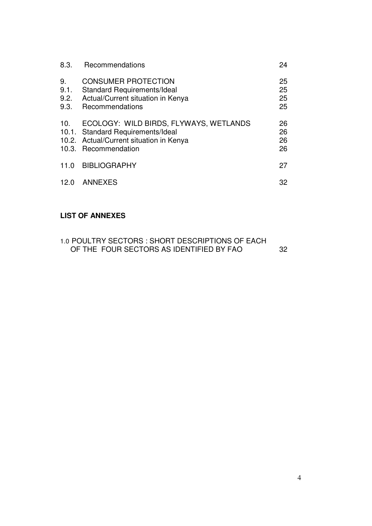| 8.3.                       | Recommendations                                                                                                                                | 24                   |
|----------------------------|------------------------------------------------------------------------------------------------------------------------------------------------|----------------------|
| 9.<br>9.1.<br>9.2.<br>9.3. | <b>CONSUMER PROTECTION</b><br><b>Standard Requirements/Ideal</b><br>Actual/Current situation in Kenya<br>Recommendations                       | 25<br>25<br>25<br>25 |
| 10.                        | ECOLOGY: WILD BIRDS, FLYWAYS, WETLANDS<br>10.1. Standard Requirements/Ideal<br>10.2. Actual/Current situation in Kenya<br>10.3. Recommendation | 26<br>26<br>26<br>26 |
| 11.0                       | <b>BIBLIOGRAPHY</b>                                                                                                                            | 27                   |
| 12.0                       | ANNEXES                                                                                                                                        | 32                   |

# **LIST OF ANNEXES**

| 1.0 POULTRY SECTORS : SHORT DESCRIPTIONS OF EACH |     |
|--------------------------------------------------|-----|
| OF THE FOUR SECTORS AS IDENTIFIED BY FAO         | -32 |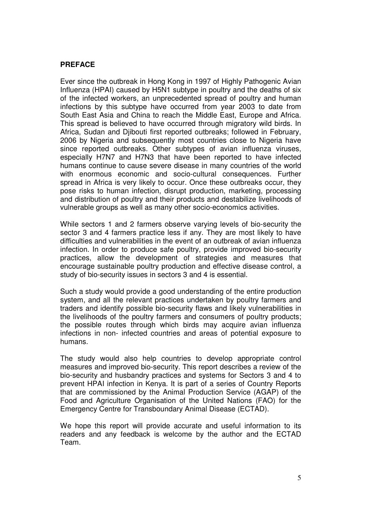### **PREFACE**

Ever since the outbreak in Hong Kong in 1997 of Highly Pathogenic Avian Influenza (HPAI) caused by H5N1 subtype in poultry and the deaths of six of the infected workers, an unprecedented spread of poultry and human infections by this subtype have occurred from year 2003 to date from South East Asia and China to reach the Middle East, Europe and Africa. This spread is believed to have occurred through migratory wild birds. In Africa, Sudan and Djibouti first reported outbreaks; followed in February, 2006 by Nigeria and subsequently most countries close to Nigeria have since reported outbreaks. Other subtypes of avian influenza viruses, especially H7N7 and H7N3 that have been reported to have infected humans continue to cause severe disease in many countries of the world with enormous economic and socio-cultural consequences. Further spread in Africa is very likely to occur. Once these outbreaks occur, they pose risks to human infection, disrupt production, marketing, processing and distribution of poultry and their products and destabilize livelihoods of vulnerable groups as well as many other socio-economics activities.

While sectors 1 and 2 farmers observe varying levels of bio-security the sector 3 and 4 farmers practice less if any. They are most likely to have difficulties and vulnerabilities in the event of an outbreak of avian influenza infection. In order to produce safe poultry, provide improved bio-security practices, allow the development of strategies and measures that encourage sustainable poultry production and effective disease control, a study of bio-security issues in sectors 3 and 4 is essential.

Such a study would provide a good understanding of the entire production system, and all the relevant practices undertaken by poultry farmers and traders and identify possible bio-security flaws and likely vulnerabilities in the livelihoods of the poultry farmers and consumers of poultry products; the possible routes through which birds may acquire avian influenza infections in non- infected countries and areas of potential exposure to humans.

The study would also help countries to develop appropriate control measures and improved bio-security. This report describes a review of the bio-security and husbandry practices and systems for Sectors 3 and 4 to prevent HPAI infection in Kenya. It is part of a series of Country Reports that are commissioned by the Animal Production Service (AGAP) of the Food and Agriculture Organisation of the United Nations (FAO) for the Emergency Centre for Transboundary Animal Disease (ECTAD).

We hope this report will provide accurate and useful information to its readers and any feedback is welcome by the author and the ECTAD Team.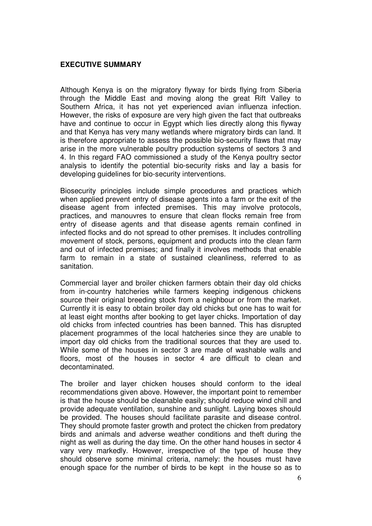## **EXECUTIVE SUMMARY**

Although Kenya is on the migratory flyway for birds flying from Siberia through the Middle East and moving along the great Rift Valley to Southern Africa, it has not yet experienced avian influenza infection. However, the risks of exposure are very high given the fact that outbreaks have and continue to occur in Egypt which lies directly along this flyway and that Kenya has very many wetlands where migratory birds can land. It is therefore appropriate to assess the possible bio-security flaws that may arise in the more vulnerable poultry production systems of sectors 3 and 4. In this regard FAO commissioned a study of the Kenya poultry sector analysis to identify the potential bio-security risks and lay a basis for developing guidelines for bio-security interventions.

Biosecurity principles include simple procedures and practices which when applied prevent entry of disease agents into a farm or the exit of the disease agent from infected premises. This may involve protocols, practices, and manouvres to ensure that clean flocks remain free from entry of disease agents and that disease agents remain confined in infected flocks and do not spread to other premises. It includes controlling movement of stock, persons, equipment and products into the clean farm and out of infected premises; and finally it involves methods that enable farm to remain in a state of sustained cleanliness, referred to as sanitation.

Commercial layer and broiler chicken farmers obtain their day old chicks from in-country hatcheries while farmers keeping indigenous chickens source their original breeding stock from a neighbour or from the market. Currently it is easy to obtain broiler day old chicks but one has to wait for at least eight months after booking to get layer chicks. Importation of day old chicks from infected countries has been banned. This has disrupted placement programmes of the local hatcheries since they are unable to import day old chicks from the traditional sources that they are used to. While some of the houses in sector 3 are made of washable walls and floors, most of the houses in sector 4 are difficult to clean and decontaminated.

The broiler and layer chicken houses should conform to the ideal recommendations given above. However, the important point to remember is that the house should be cleanable easily; should reduce wind chill and provide adequate ventilation, sunshine and sunlight. Laying boxes should be provided. The houses should facilitate parasite and disease control. They should promote faster growth and protect the chicken from predatory birds and animals and adverse weather conditions and theft during the night as well as during the day time. On the other hand houses in sector 4 vary very markedly. However, irrespective of the type of house they should observe some minimal criteria, namely: the houses must have enough space for the number of birds to be kept in the house so as to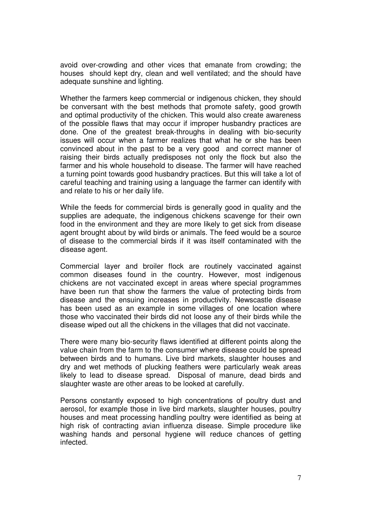avoid over-crowding and other vices that emanate from crowding; the houses should kept dry, clean and well ventilated; and the should have adequate sunshine and lighting.

Whether the farmers keep commercial or indigenous chicken, they should be conversant with the best methods that promote safety, good growth and optimal productivity of the chicken. This would also create awareness of the possible flaws that may occur if improper husbandry practices are done. One of the greatest break-throughs in dealing with bio-security issues will occur when a farmer realizes that what he or she has been convinced about in the past to be a very good and correct manner of raising their birds actually predisposes not only the flock but also the farmer and his whole household to disease. The farmer will have reached a turning point towards good husbandry practices. But this will take a lot of careful teaching and training using a language the farmer can identify with and relate to his or her daily life.

While the feeds for commercial birds is generally good in quality and the supplies are adequate, the indigenous chickens scavenge for their own food in the environment and they are more likely to get sick from disease agent brought about by wild birds or animals. The feed would be a source of disease to the commercial birds if it was itself contaminated with the disease agent.

Commercial layer and broiler flock are routinely vaccinated against common diseases found in the country. However, most indigenous chickens are not vaccinated except in areas where special programmes have been run that show the farmers the value of protecting birds from disease and the ensuing increases in productivity. Newscastle disease has been used as an example in some villages of one location where those who vaccinated their birds did not loose any of their birds while the disease wiped out all the chickens in the villages that did not vaccinate.

There were many bio-security flaws identified at different points along the value chain from the farm to the consumer where disease could be spread between birds and to humans. Live bird markets, slaughter houses and dry and wet methods of plucking feathers were particularly weak areas likely to lead to disease spread. Disposal of manure, dead birds and slaughter waste are other areas to be looked at carefully.

Persons constantly exposed to high concentrations of poultry dust and aerosol, for example those in live bird markets, slaughter houses, poultry houses and meat processing handling poultry were identified as being at high risk of contracting avian influenza disease. Simple procedure like washing hands and personal hygiene will reduce chances of getting infected.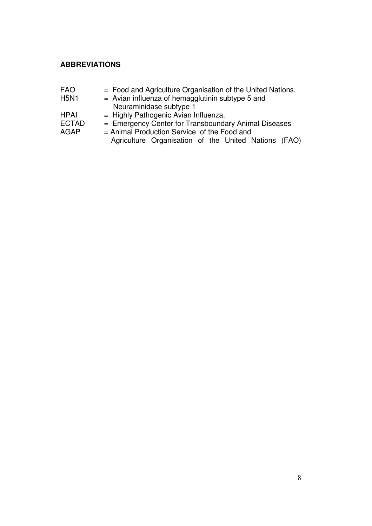## **ABBREVIATIONS**

- FAO  $=$  Food and Agriculture Organisation of the United Nations.<br>H5N1  $=$  Avian influenza of hemagalutinin subtype 5 and
- $=$  Avian influenza of hemagglutinin subtype 5 and Neuraminidase subtype 1<br>HPAI = Highly Pathogenic Avian In
- $=$  Highly Pathogenic Avian Influenza.
- ECTAD = Emergency Center for Transboundary Animal Diseases
- 
- AGAP = Animal Production Service of the Food and Agriculture Organisation of the United Nations (FAO)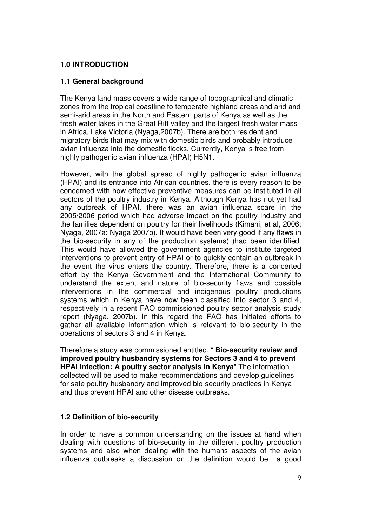## **1.0 INTRODUCTION**

## **1.1 General background**

The Kenya land mass covers a wide range of topographical and climatic zones from the tropical coastline to temperate highland areas and arid and semi-arid areas in the North and Eastern parts of Kenya as well as the fresh water lakes in the Great Rift valley and the largest fresh water mass in Africa, Lake Victoria (Nyaga,2007b). There are both resident and migratory birds that may mix with domestic birds and probably introduce avian influenza into the domestic flocks. Currently, Kenya is free from highly pathogenic avian influenza (HPAI) H5N1.

However, with the global spread of highly pathogenic avian influenza (HPAI) and its entrance into African countries, there is every reason to be concerned with how effective preventive measures can be instituted in all sectors of the poultry industry in Kenya. Although Kenya has not yet had any outbreak of HPAI, there was an avian influenza scare in the 2005/2006 period which had adverse impact on the poultry industry and the families dependent on poultry for their livelihoods (Kimani, et al, 2006; Nyaga, 2007a; Nyaga 2007b). It would have been very good if any flaws in the bio-security in any of the production systems( )had been identified. This would have allowed the government agencies to institute targeted interventions to prevent entry of HPAI or to quickly contain an outbreak in the event the virus enters the country. Therefore, there is a concerted effort by the Kenya Government and the International Community to understand the extent and nature of bio-security flaws and possible interventions in the commercial and indigenous poultry productions systems which in Kenya have now been classified into sector 3 and 4, respectively in a recent FAO commissioned poultry sector analysis study report (Nyaga, 2007b). In this regard the FAO has initiated efforts to gather all available information which is relevant to bio-security in the operations of sectors 3 and 4 in Kenya.

Therefore a study was commissioned entitled, " **Bio-security review and improved poultry husbandry systems for Sectors 3 and 4 to prevent HPAI infection: A poultry sector analysis in Kenya**" The information collected will be used to make recommendations and develop guidelines for safe poultry husbandry and improved bio-security practices in Kenya and thus prevent HPAI and other disease outbreaks.

# **1.2 Definition of bio-security**

In order to have a common understanding on the issues at hand when dealing with questions of bio-security in the different poultry production systems and also when dealing with the humans aspects of the avian influenza outbreaks a discussion on the definition would be a good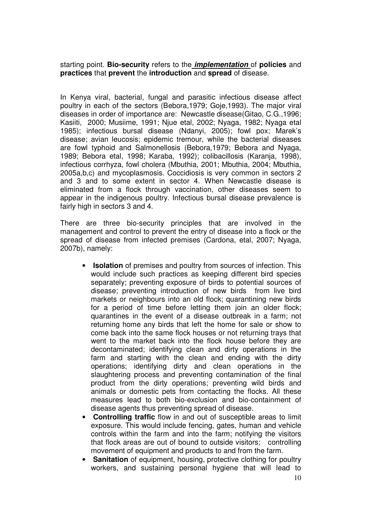starting point. **Bio-security** refers to the **implementation** of **policies** and **practices** that **prevent** the **introduction** and **spread** of disease.

In Kenya viral, bacterial, fungal and parasitic infectious disease affect poultry in each of the sectors (Bebora,1979; Goje,1993). The major viral diseases in order of importance are: Newcastle disease(Gitao, C.G.,1996; Kasiiti, 2000; Musiime, 1991; Njue etal, 2002; Nyaga, 1982; Nyaga etal 1985); infectious bursal disease (Ndanyi, 2005); fowl pox; Marek's disease; avian leucosis; epidemic tremour, while the bacterial diseases are fowl typhoid and Salmonellosis (Bebora,1979; Bebora and Nyaga, 1989; Bebora etal, 1998; Karaba, 1992); colibacillosis (Karanja, 1998), infectious corrhyza, fowl cholera (Mbuthia, 2001; Mbuthia, 2004; Mbuthia, 2005a,b,c) and mycoplasmosis. Coccidiosis is very common in sectors 2 and 3 and to some extent in sector 4. When Newcastle disease is eliminated from a flock through vaccination, other diseases seem to appear in the indigenous poultry. Infectious bursal disease prevalence is fairly high in sectors 3 and 4.

There are three bio-security principles that are involved in the management and control to prevent the entry of disease into a flock or the spread of disease from infected premises (Cardona, etal, 2007; Nyaga, 2007b), namely:

- **Isolation** of premises and poultry from sources of infection. This would include such practices as keeping different bird species separately; preventing exposure of birds to potential sources of disease; preventing introduction of new birds from live bird markets or neighbours into an old flock; quarantining new birds for a period of time before letting them join an older flock; quarantines in the event of a disease outbreak in a farm; not returning home any birds that left the home for sale or show to come back into the same flock houses or not returning trays that went to the market back into the flock house before they are decontaminated; identifying clean and dirty operations in the farm and starting with the clean and ending with the dirty operations; identifying dirty and clean operations in the slaughtering process and preventing contamination of the final product from the dirty operations; preventing wild birds and animals or domestic pets from contacting the flocks. All these measures lead to both bio-exclusion and bio-containment of disease agents thus preventing spread of disease.
- **Controlling traffic** flow in and out of susceptible areas to limit exposure. This would include fencing, gates, human and vehicle controls within the farm and into the farm; notifying the visitors that flock areas are out of bound to outside visitors; controlling movement of equipment and products to and from the farm.
- **Sanitation** of equipment, housing, protective clothing for poultry workers, and sustaining personal hygiene that will lead to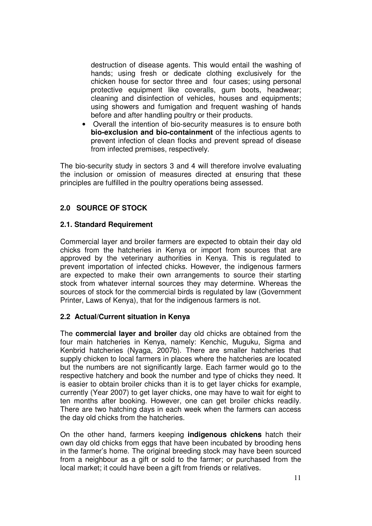destruction of disease agents. This would entail the washing of hands; using fresh or dedicate clothing exclusively for the chicken house for sector three and four cases; using personal protective equipment like coveralls, gum boots, headwear; cleaning and disinfection of vehicles, houses and equipments; using showers and fumigation and frequent washing of hands before and after handling poultry or their products.

• Overall the intention of bio-security measures is to ensure both **bio-exclusion and bio-containment** of the infectious agents to prevent infection of clean flocks and prevent spread of disease from infected premises, respectively.

The bio-security study in sectors 3 and 4 will therefore involve evaluating the inclusion or omission of measures directed at ensuring that these principles are fulfilled in the poultry operations being assessed.

## **2.0 SOURCE OF STOCK**

### **2.1. Standard Requirement**

Commercial layer and broiler farmers are expected to obtain their day old chicks from the hatcheries in Kenya or import from sources that are approved by the veterinary authorities in Kenya. This is regulated to prevent importation of infected chicks. However, the indigenous farmers are expected to make their own arrangements to source their starting stock from whatever internal sources they may determine. Whereas the sources of stock for the commercial birds is regulated by law (Government Printer, Laws of Kenya), that for the indigenous farmers is not.

### **2.2 Actual/Current situation in Kenya**

The **commercial layer and broiler** day old chicks are obtained from the four main hatcheries in Kenya, namely: Kenchic, Muguku, Sigma and Kenbrid hatcheries (Nyaga, 2007b). There are smaller hatcheries that supply chicken to local farmers in places where the hatcheries are located but the numbers are not significantly large. Each farmer would go to the respective hatchery and book the number and type of chicks they need. It is easier to obtain broiler chicks than it is to get layer chicks for example, currently (Year 2007) to get layer chicks, one may have to wait for eight to ten months after booking. However, one can get broiler chicks readily. There are two hatching days in each week when the farmers can access the day old chicks from the hatcheries.

On the other hand, farmers keeping **indigenous chickens** hatch their own day old chicks from eggs that have been incubated by brooding hens in the farmer's home. The original breeding stock may have been sourced from a neighbour as a gift or sold to the farmer; or purchased from the local market; it could have been a gift from friends or relatives.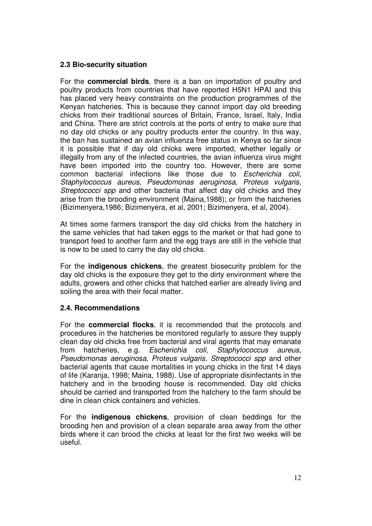### **2.3 Bio-security situation**

For the **commercial birds**, there is a ban on importation of poultry and poultry products from countries that have reported H5N1 HPAI and this has placed very heavy constraints on the production programmes of the Kenyan hatcheries. This is because they cannot import day old breeding chicks from their traditional sources of Britain, France, Israel, Italy, India and China. There are strict controls at the ports of entry to make sure that no day old chicks or any poultry products enter the country. In this way, the ban has sustained an avian influenza free status in Kenya so far since it is possible that if day old chicks were imported, whether legally or illegally from any of the infected countries, the avian influenza virus might have been imported into the country too. However, there are some common bacterial infections like those due to Escherichia coli, Staphylococcus aureus, Pseudomonas aeruginosa, Proteus vulgaris, Streptococci spp and other bacteria that affect day old chicks and they arise from the brooding environment (Maina,1988); or from the hatcheries (Bizimenyera,1986; Bizimenyera, et al, 2001; Bizimenyera, et al, 2004).

At times some farmers transport the day old chicks from the hatchery in the same vehicles that had taken eggs to the market or that had gone to transport feed to another farm and the egg trays are still in the vehicle that is now to be used to carry the day old chicks.

For the **indigenous chickens**, the greatest biosecurity problem for the day old chicks is the exposure they get to the dirty environment where the adults, growers and other chicks that hatched earlier are already living and soiling the area with their fecal matter.

#### **2.4. Recommendations**

For the **commercial flocks**, it is recommended that the protocols and procedures in the hatcheries be monitored regularly to assure they supply clean day old chicks free from bacterial and viral agents that may emanate from hatcheries, e.g. Escherichia coli, Staphylococcus aureus, Pseudomonas aeruginosa, Proteus vulgaris, Streptococci spp and other bacterial agents that cause mortalities in young chicks in the first 14 days of life (Karanja, 1998; Maina, 1988). Use of appropriate disinfectants in the hatchery and in the brooding house is recommended. Day old chicks should be carried and transported from the hatchery to the farm should be dine in clean chick containers and vehicles.

For the **indigenous chickens**, provision of clean beddings for the brooding hen and provision of a clean separate area away from the other birds where it can brood the chicks at least for the first two weeks will be useful.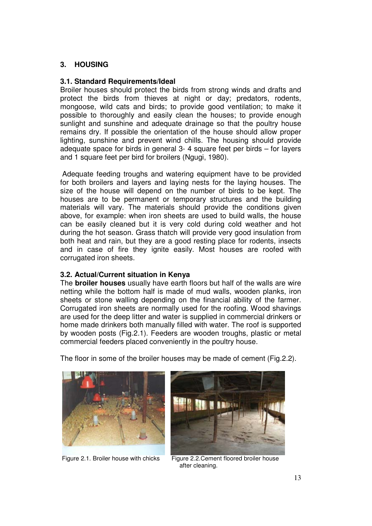## **3. HOUSING**

### **3.1. Standard Requirements/Ideal**

Broiler houses should protect the birds from strong winds and drafts and protect the birds from thieves at night or day; predators, rodents, mongoose, wild cats and birds; to provide good ventilation; to make it possible to thoroughly and easily clean the houses; to provide enough sunlight and sunshine and adequate drainage so that the poultry house remains dry. If possible the orientation of the house should allow proper lighting, sunshine and prevent wind chills. The housing should provide adequate space for birds in general 3- 4 square feet per birds – for layers and 1 square feet per bird for broilers (Ngugi, 1980).

 Adequate feeding troughs and watering equipment have to be provided for both broilers and layers and laying nests for the laying houses. The size of the house will depend on the number of birds to be kept. The houses are to be permanent or temporary structures and the building materials will vary. The materials should provide the conditions given above, for example: when iron sheets are used to build walls, the house can be easily cleaned but it is very cold during cold weather and hot during the hot season. Grass thatch will provide very good insulation from both heat and rain, but they are a good resting place for rodents, insects and in case of fire they ignite easily. Most houses are roofed with corrugated iron sheets.

### **3.2. Actual/Current situation in Kenya**

The **broiler houses** usually have earth floors but half of the walls are wire netting while the bottom half is made of mud walls, wooden planks, iron sheets or stone walling depending on the financial ability of the farmer. Corrugated iron sheets are normally used for the roofing. Wood shavings are used for the deep litter and water is supplied in commercial drinkers or home made drinkers both manually filled with water. The roof is supported by wooden posts (Fig.2.1). Feeders are wooden troughs, plastic or metal commercial feeders placed conveniently in the poultry house.





Figure 2.1. Broiler house with chicks Figure 2.2. Cement floored broiler house



after cleaning.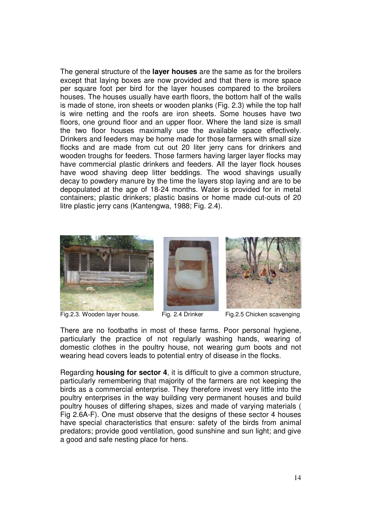The general structure of the **layer houses** are the same as for the broilers except that laying boxes are now provided and that there is more space per square foot per bird for the layer houses compared to the broilers houses. The houses usually have earth floors, the bottom half of the walls is made of stone, iron sheets or wooden planks (Fig. 2.3) while the top half is wire netting and the roofs are iron sheets. Some houses have two floors, one ground floor and an upper floor. Where the land size is small the two floor houses maximally use the available space effectively. Drinkers and feeders may be home made for those farmers with small size flocks and are made from cut out 20 liter jerry cans for drinkers and wooden troughs for feeders. Those farmers having larger layer flocks may have commercial plastic drinkers and feeders. All the layer flock houses have wood shaving deep litter beddings. The wood shavings usually decay to powdery manure by the time the layers stop laying and are to be depopulated at the age of 18-24 months. Water is provided for in metal containers; plastic drinkers; plastic basins or home made cut-outs of 20 litre plastic jerry cans (Kantengwa, 1988; Fig. 2.4).



Fig.2.3. Wooden layer house. Fig. 2.4 Drinker Fig.2.5 Chicken scavenging



There are no footbaths in most of these farms. Poor personal hygiene, particularly the practice of not regularly washing hands, wearing of domestic clothes in the poultry house, not wearing gum boots and not wearing head covers leads to potential entry of disease in the flocks.

Regarding **housing for sector 4**, it is difficult to give a common structure, particularly remembering that majority of the farmers are not keeping the birds as a commercial enterprise. They therefore invest very little into the poultry enterprises in the way building very permanent houses and build poultry houses of differing shapes, sizes and made of varying materials ( Fig 2.6A-F). One must observe that the designs of these sector 4 houses have special characteristics that ensure: safety of the birds from animal predators; provide good ventilation, good sunshine and sun light; and give a good and safe nesting place for hens.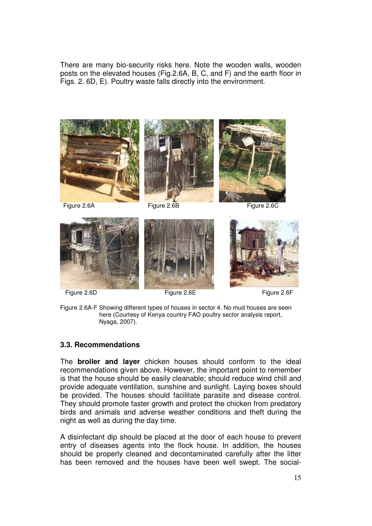There are many bio-security risks here. Note the wooden walls, wooden posts on the elevated houses (Fig.2.6A, B, C, and F) and the earth floor in Figs. 2. 6D, E). Poultry waste falls directly into the environment.









Figure 2.6D Figure 2.6E Figure 2.6F



Figure 2.6A-F Showing different types of houses in sector 4. No mud houses are seen here (Courtesy of Kenya country FAO poultry sector analysis report, Nyaga, 2007).

### **3.3. Recommendations**

The **broiler and layer** chicken houses should conform to the ideal recommendations given above. However, the important point to remember is that the house should be easily cleanable; should reduce wind chill and provide adequate ventilation, sunshine and sunlight. Laying boxes should be provided. The houses should facilitate parasite and disease control. They should promote faster growth and protect the chicken from predatory birds and animals and adverse weather conditions and theft during the night as well as during the day time.

A disinfectant dip should be placed at the door of each house to prevent entry of diseases agents into the flock house. In addition, the houses should be properly cleaned and decontaminated carefully after the litter has been removed and the houses have been well swept. The social-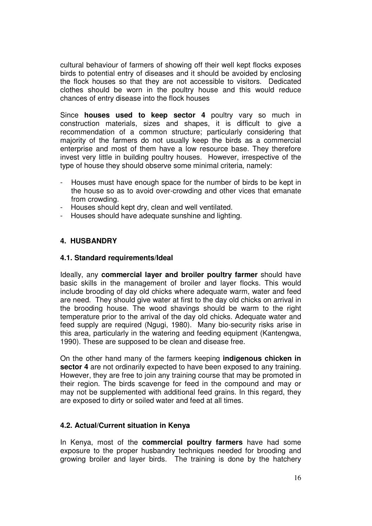cultural behaviour of farmers of showing off their well kept flocks exposes birds to potential entry of diseases and it should be avoided by enclosing the flock houses so that they are not accessible to visitors. Dedicated clothes should be worn in the poultry house and this would reduce chances of entry disease into the flock houses

Since **houses used to keep sector 4** poultry vary so much in construction materials, sizes and shapes, it is difficult to give a recommendation of a common structure; particularly considering that majority of the farmers do not usually keep the birds as a commercial enterprise and most of them have a low resource base. They therefore invest very little in building poultry houses. However, irrespective of the type of house they should observe some minimal criteria, namely:

- Houses must have enough space for the number of birds to be kept in the house so as to avoid over-crowding and other vices that emanate from crowding.
- Houses should kept dry, clean and well ventilated.
- Houses should have adequate sunshine and lighting.

### **4. HUSBANDRY**

#### **4.1. Standard requirements/Ideal**

Ideally, any **commercial layer and broiler poultry farmer** should have basic skills in the management of broiler and layer flocks. This would include brooding of day old chicks where adequate warm, water and feed are need. They should give water at first to the day old chicks on arrival in the brooding house. The wood shavings should be warm to the right temperature prior to the arrival of the day old chicks. Adequate water and feed supply are required (Ngugi, 1980). Many bio-security risks arise in this area, particularly in the watering and feeding equipment (Kantengwa, 1990). These are supposed to be clean and disease free.

On the other hand many of the farmers keeping **indigenous chicken in sector 4** are not ordinarily expected to have been exposed to any training. However, they are free to join any training course that may be promoted in their region. The birds scavenge for feed in the compound and may or may not be supplemented with additional feed grains. In this regard, they are exposed to dirty or soiled water and feed at all times.

#### **4.2. Actual/Current situation in Kenya**

In Kenya, most of the **commercial poultry farmers** have had some exposure to the proper husbandry techniques needed for brooding and growing broiler and layer birds. The training is done by the hatchery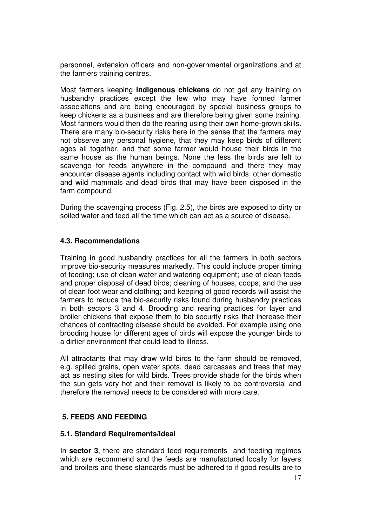personnel, extension officers and non-governmental organizations and at the farmers training centres.

Most farmers keeping **indigenous chickens** do not get any training on husbandry practices except the few who may have formed farmer associations and are being encouraged by special business groups to keep chickens as a business and are therefore being given some training. Most farmers would then do the rearing using their own home-grown skills. There are many bio-security risks here in the sense that the farmers may not observe any personal hygiene, that they may keep birds of different ages all together, and that some farmer would house their birds in the same house as the human beings. None the less the birds are left to scavenge for feeds anywhere in the compound and there they may encounter disease agents including contact with wild birds, other domestic and wild mammals and dead birds that may have been disposed in the farm compound.

During the scavenging process (Fig. 2.5), the birds are exposed to dirty or soiled water and feed all the time which can act as a source of disease.

### **4.3. Recommendations**

Training in good husbandry practices for all the farmers in both sectors improve bio-security measures markedly. This could include proper timing of feeding; use of clean water and watering equipment; use of clean feeds and proper disposal of dead birds; cleaning of houses, coops, and the use of clean foot wear and clothing; and keeping of good records will assist the farmers to reduce the bio-security risks found during husbandry practices in both sectors 3 and 4. Brooding and rearing practices for layer and broiler chickens that expose them to bio-security risks that increase their chances of contracting disease should be avoided. For example using one brooding house for different ages of birds will expose the younger birds to a dirtier environment that could lead to illness.

All attractants that may draw wild birds to the farm should be removed, e.g. spilled grains, open water spots, dead carcasses and trees that may act as nesting sites for wild birds. Trees provide shade for the birds when the sun gets very hot and their removal is likely to be controversial and therefore the removal needs to be considered with more care.

#### **5. FEEDS AND FEEDING**

#### **5.1. Standard Requirements/Ideal**

In **sector 3**, there are standard feed requirements and feeding regimes which are recommend and the feeds are manufactured locally for layers and broilers and these standards must be adhered to if good results are to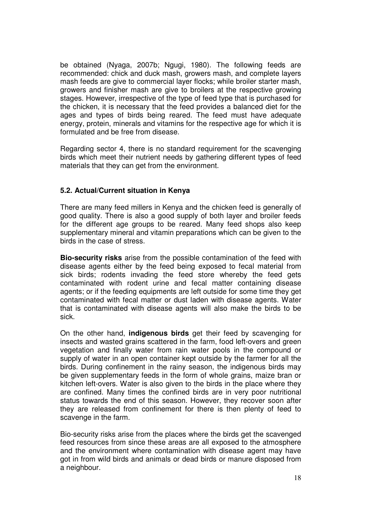be obtained (Nyaga, 2007b; Ngugi, 1980). The following feeds are recommended: chick and duck mash, growers mash, and complete layers mash feeds are give to commercial layer flocks; while broiler starter mash, growers and finisher mash are give to broilers at the respective growing stages. However, irrespective of the type of feed type that is purchased for the chicken, it is necessary that the feed provides a balanced diet for the ages and types of birds being reared. The feed must have adequate energy, protein, minerals and vitamins for the respective age for which it is formulated and be free from disease.

Regarding sector 4, there is no standard requirement for the scavenging birds which meet their nutrient needs by gathering different types of feed materials that they can get from the environment.

### **5.2. Actual/Current situation in Kenya**

There are many feed millers in Kenya and the chicken feed is generally of good quality. There is also a good supply of both layer and broiler feeds for the different age groups to be reared. Many feed shops also keep supplementary mineral and vitamin preparations which can be given to the birds in the case of stress.

**Bio-security risks** arise from the possible contamination of the feed with disease agents either by the feed being exposed to fecal material from sick birds; rodents invading the feed store whereby the feed gets contaminated with rodent urine and fecal matter containing disease agents; or if the feeding equipments are left outside for some time they get contaminated with fecal matter or dust laden with disease agents. Water that is contaminated with disease agents will also make the birds to be sick.

On the other hand, **indigenous birds** get their feed by scavenging for insects and wasted grains scattered in the farm, food left-overs and green vegetation and finally water from rain water pools in the compound or supply of water in an open container kept outside by the farmer for all the birds. During confinement in the rainy season, the indigenous birds may be given supplementary feeds in the form of whole grains, maize bran or kitchen left-overs. Water is also given to the birds in the place where they are confined. Many times the confined birds are in very poor nutritional status towards the end of this season. However, they recover soon after they are released from confinement for there is then plenty of feed to scavenge in the farm.

Bio-security risks arise from the places where the birds get the scavenged feed resources from since these areas are all exposed to the atmosphere and the environment where contamination with disease agent may have got in from wild birds and animals or dead birds or manure disposed from a neighbour.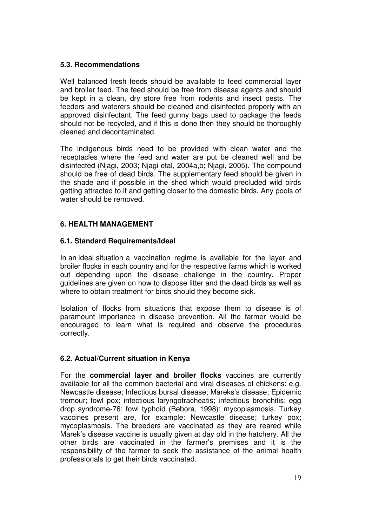## **5.3. Recommendations**

Well balanced fresh feeds should be available to feed commercial layer and broiler feed. The feed should be free from disease agents and should be kept in a clean, dry store free from rodents and insect pests. The feeders and waterers should be cleaned and disinfected properly with an approved disinfectant. The feed gunny bags used to package the feeds should not be recycled, and if this is done then they should be thoroughly cleaned and decontaminated.

The indigenous birds need to be provided with clean water and the receptacles where the feed and water are put be cleaned well and be disinfected (Njagi, 2003; Njagi etal, 2004a,b; Njagi, 2005). The compound should be free of dead birds. The supplementary feed should be given in the shade and if possible in the shed which would precluded wild birds getting attracted to it and getting closer to the domestic birds. Any pools of water should be removed.

# **6. HEALTH MANAGEMENT**

### **6.1. Standard Requirements/Ideal**

In an ideal situation a vaccination regime is available for the layer and broiler flocks in each country and for the respective farms which is worked out depending upon the disease challenge in the country. Proper guidelines are given on how to dispose litter and the dead birds as well as where to obtain treatment for birds should they become sick.

Isolation of flocks from situations that expose them to disease is of paramount importance in disease prevention. All the farmer would be encouraged to learn what is required and observe the procedures correctly.

# **6.2. Actual/Current situation in Kenya**

For the **commercial layer and broiler flocks** vaccines are currently available for all the common bacterial and viral diseases of chickens: e.g. Newcastle disease; Infectious bursal disease; Mareks's disease; Epidemic tremour; fowl pox; infectious laryngotracheatis; infectious bronchitis; egg drop syndrome-76; fowl typhoid (Bebora, 1998); mycoplasmosis. Turkey vaccines present are, for example: Newcastle disease; turkey pox; mycoplasmosis. The breeders are vaccinated as they are reared while Marek's disease vaccine is usually given at day old in the hatchery. All the other birds are vaccinated in the farmer's premises and it is the responsibility of the farmer to seek the assistance of the animal health professionals to get their birds vaccinated.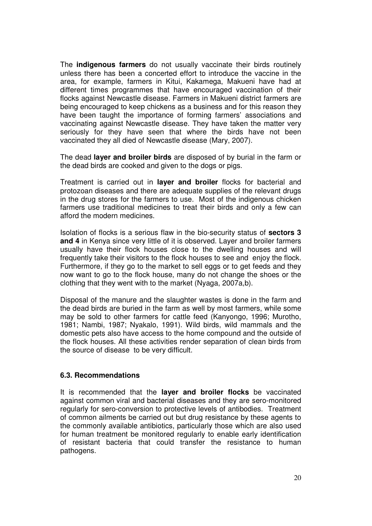The **indigenous farmers** do not usually vaccinate their birds routinely unless there has been a concerted effort to introduce the vaccine in the area, for example, farmers in Kitui, Kakamega, Makueni have had at different times programmes that have encouraged vaccination of their flocks against Newcastle disease. Farmers in Makueni district farmers are being encouraged to keep chickens as a business and for this reason they have been taught the importance of forming farmers' associations and vaccinating against Newcastle disease. They have taken the matter very seriously for they have seen that where the birds have not been vaccinated they all died of Newcastle disease (Mary, 2007).

The dead **layer and broiler birds** are disposed of by burial in the farm or the dead birds are cooked and given to the dogs or pigs.

Treatment is carried out in **layer and broiler** flocks for bacterial and protozoan diseases and there are adequate supplies of the relevant drugs in the drug stores for the farmers to use. Most of the indigenous chicken farmers use traditional medicines to treat their birds and only a few can afford the modern medicines.

Isolation of flocks is a serious flaw in the bio-security status of **sectors 3 and 4** in Kenya since very little of it is observed. Layer and broiler farmers usually have their flock houses close to the dwelling houses and will frequently take their visitors to the flock houses to see and enjoy the flock. Furthermore, if they go to the market to sell eggs or to get feeds and they now want to go to the flock house, many do not change the shoes or the clothing that they went with to the market (Nyaga, 2007a,b).

Disposal of the manure and the slaughter wastes is done in the farm and the dead birds are buried in the farm as well by most farmers, while some may be sold to other farmers for cattle feed (Kanyongo, 1996; Murotho, 1981; Nambi, 1987; Nyakalo, 1991). Wild birds, wild mammals and the domestic pets also have access to the home compound and the outside of the flock houses. All these activities render separation of clean birds from the source of disease to be very difficult.

#### **6.3. Recommendations**

It is recommended that the **layer and broiler flocks** be vaccinated against common viral and bacterial diseases and they are sero-monitored regularly for sero-conversion to protective levels of antibodies. Treatment of common ailments be carried out but drug resistance by these agents to the commonly available antibiotics, particularly those which are also used for human treatment be monitored regularly to enable early identification of resistant bacteria that could transfer the resistance to human pathogens.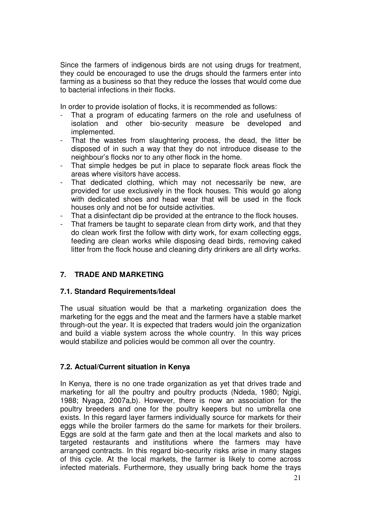Since the farmers of indigenous birds are not using drugs for treatment, they could be encouraged to use the drugs should the farmers enter into farming as a business so that they reduce the losses that would come due to bacterial infections in their flocks.

In order to provide isolation of flocks, it is recommended as follows:

- That a program of educating farmers on the role and usefulness of isolation and other bio-security measure be developed and implemented.
- That the wastes from slaughtering process, the dead, the litter be disposed of in such a way that they do not introduce disease to the neighbour's flocks nor to any other flock in the home.
- That simple hedges be put in place to separate flock areas flock the areas where visitors have access.
- That dedicated clothing, which may not necessarily be new, are provided for use exclusively in the flock houses. This would go along with dedicated shoes and head wear that will be used in the flock houses only and not be for outside activities.
- That a disinfectant dip be provided at the entrance to the flock houses.
- That framers be taught to separate clean from dirty work, and that they do clean work first the follow with dirty work, for exam collecting eggs, feeding are clean works while disposing dead birds, removing caked litter from the flock house and cleaning dirty drinkers are all dirty works.

# **7. TRADE AND MARKETING**

### **7.1. Standard Requirements/Ideal**

The usual situation would be that a marketing organization does the marketing for the eggs and the meat and the farmers have a stable market through-out the year. It is expected that traders would join the organization and build a viable system across the whole country. In this way prices would stabilize and policies would be common all over the country.

### **7.2. Actual/Current situation in Kenya**

In Kenya, there is no one trade organization as yet that drives trade and marketing for all the poultry and poultry products (Ndeda, 1980; Ngigi, 1988; Nyaga, 2007a,b). However, there is now an association for the poultry breeders and one for the poultry keepers but no umbrella one exists. In this regard layer farmers individually source for markets for their eggs while the broiler farmers do the same for markets for their broilers. Eggs are sold at the farm gate and then at the local markets and also to targeted restaurants and institutions where the farmers may have arranged contracts. In this regard bio-security risks arise in many stages of this cycle. At the local markets, the farmer is likely to come across infected materials. Furthermore, they usually bring back home the trays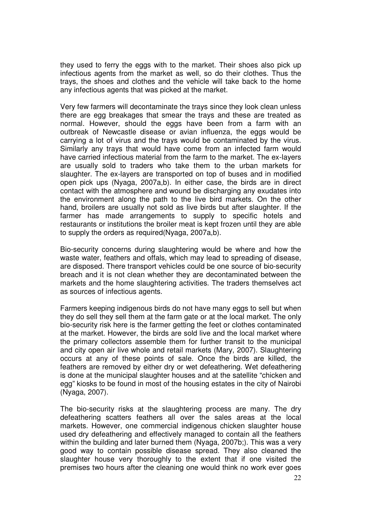they used to ferry the eggs with to the market. Their shoes also pick up infectious agents from the market as well, so do their clothes. Thus the trays, the shoes and clothes and the vehicle will take back to the home any infectious agents that was picked at the market.

Very few farmers will decontaminate the trays since they look clean unless there are egg breakages that smear the trays and these are treated as normal. However, should the eggs have been from a farm with an outbreak of Newcastle disease or avian influenza, the eggs would be carrying a lot of virus and the trays would be contaminated by the virus. Similarly any trays that would have come from an infected farm would have carried infectious material from the farm to the market. The ex-layers are usually sold to traders who take them to the urban markets for slaughter. The ex-layers are transported on top of buses and in modified open pick ups (Nyaga, 2007a,b). In either case, the birds are in direct contact with the atmosphere and wound be discharging any exudates into the environment along the path to the live bird markets. On the other hand, broilers are usually not sold as live birds but after slaughter. If the farmer has made arrangements to supply to specific hotels and restaurants or institutions the broiler meat is kept frozen until they are able to supply the orders as required(Nyaga, 2007a,b).

Bio-security concerns during slaughtering would be where and how the waste water, feathers and offals, which may lead to spreading of disease, are disposed. There transport vehicles could be one source of bio-security breach and it is not clean whether they are decontaminated between the markets and the home slaughtering activities. The traders themselves act as sources of infectious agents.

Farmers keeping indigenous birds do not have many eggs to sell but when they do sell they sell them at the farm gate or at the local market. The only bio-security risk here is the farmer getting the feet or clothes contaminated at the market. However, the birds are sold live and the local market where the primary collectors assemble them for further transit to the municipal and city open air live whole and retail markets (Mary, 2007). Slaughtering occurs at any of these points of sale. Once the birds are killed, the feathers are removed by either dry or wet defeathering. Wet defeathering is done at the municipal slaughter houses and at the satellite "chicken and egg" kiosks to be found in most of the housing estates in the city of Nairobi (Nyaga, 2007).

The bio-security risks at the slaughtering process are many. The dry defeathering scatters feathers all over the sales areas at the local markets. However, one commercial indigenous chicken slaughter house used dry defeathering and effectively managed to contain all the feathers within the building and later burned them (Nyaga, 2007b;). This was a very good way to contain possible disease spread. They also cleaned the slaughter house very thoroughly to the extent that if one visited the premises two hours after the cleaning one would think no work ever goes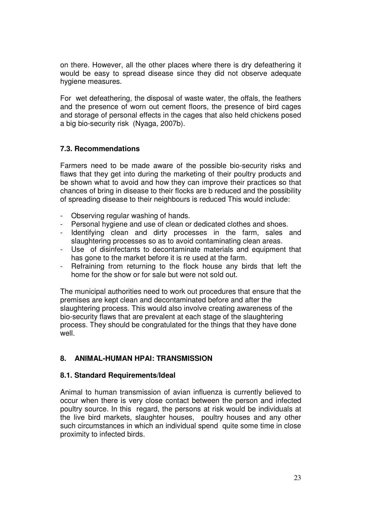on there. However, all the other places where there is dry defeathering it would be easy to spread disease since they did not observe adequate hygiene measures.

For wet defeathering, the disposal of waste water, the offals, the feathers and the presence of worn out cement floors, the presence of bird cages and storage of personal effects in the cages that also held chickens posed a big bio-security risk (Nyaga, 2007b).

## **7.3. Recommendations**

Farmers need to be made aware of the possible bio-security risks and flaws that they get into during the marketing of their poultry products and be shown what to avoid and how they can improve their practices so that chances of bring in disease to their flocks are b reduced and the possibility of spreading disease to their neighbours is reduced This would include:

- Observing regular washing of hands.
- Personal hygiene and use of clean or dedicated clothes and shoes.
- Identifying clean and dirty processes in the farm, sales and slaughtering processes so as to avoid contaminating clean areas.
- Use of disinfectants to decontaminate materials and equipment that has gone to the market before it is re used at the farm.
- Refraining from returning to the flock house any birds that left the home for the show or for sale but were not sold out.

The municipal authorities need to work out procedures that ensure that the premises are kept clean and decontaminated before and after the slaughtering process. This would also involve creating awareness of the bio-security flaws that are prevalent at each stage of the slaughtering process. They should be congratulated for the things that they have done well.

### **8. ANIMAL-HUMAN HPAI: TRANSMISSION**

### **8.1. Standard Requirements/Ideal**

Animal to human transmission of avian influenza is currently believed to occur when there is very close contact between the person and infected poultry source. In this regard, the persons at risk would be individuals at the live bird markets, slaughter houses, poultry houses and any other such circumstances in which an individual spend quite some time in close proximity to infected birds.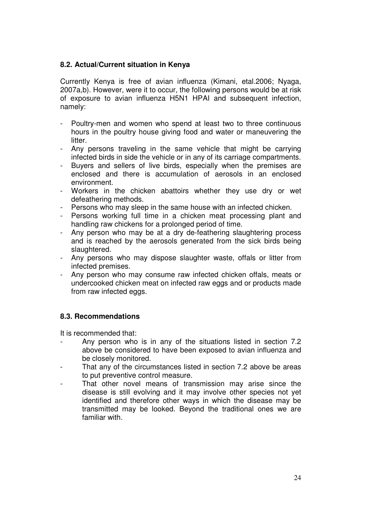## **8.2. Actual/Current situation in Kenya**

Currently Kenya is free of avian influenza (Kimani, etal.2006; Nyaga, 2007a,b). However, were it to occur, the following persons would be at risk of exposure to avian influenza H5N1 HPAI and subsequent infection, namely:

- Poultry-men and women who spend at least two to three continuous hours in the poultry house giving food and water or maneuvering the litter.
- Any persons traveling in the same vehicle that might be carrying infected birds in side the vehicle or in any of its carriage compartments.
- Buyers and sellers of live birds, especially when the premises are enclosed and there is accumulation of aerosols in an enclosed environment.
- Workers in the chicken abattoirs whether they use dry or wet defeathering methods.
- Persons who may sleep in the same house with an infected chicken.
- Persons working full time in a chicken meat processing plant and handling raw chickens for a prolonged period of time.
- Any person who may be at a dry de-feathering slaughtering process and is reached by the aerosols generated from the sick birds being slaughtered.
- Any persons who may dispose slaughter waste, offals or litter from infected premises.
- Any person who may consume raw infected chicken offals, meats or undercooked chicken meat on infected raw eggs and or products made from raw infected eggs.

# **8.3. Recommendations**

It is recommended that:

- Any person who is in any of the situations listed in section 7.2 above be considered to have been exposed to avian influenza and be closely monitored.
- That any of the circumstances listed in section 7.2 above be areas to put preventive control measure.
- That other novel means of transmission may arise since the disease is still evolving and it may involve other species not yet identified and therefore other ways in which the disease may be transmitted may be looked. Beyond the traditional ones we are familiar with.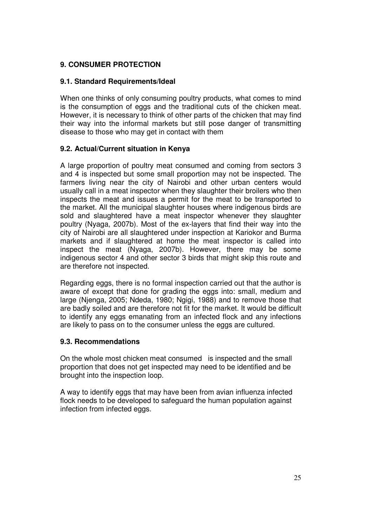# **9. CONSUMER PROTECTION**

## **9.1. Standard Requirements/Ideal**

When one thinks of only consuming poultry products, what comes to mind is the consumption of eggs and the traditional cuts of the chicken meat. However, it is necessary to think of other parts of the chicken that may find their way into the informal markets but still pose danger of transmitting disease to those who may get in contact with them

## **9.2. Actual/Current situation in Kenya**

A large proportion of poultry meat consumed and coming from sectors 3 and 4 is inspected but some small proportion may not be inspected. The farmers living near the city of Nairobi and other urban centers would usually call in a meat inspector when they slaughter their broilers who then inspects the meat and issues a permit for the meat to be transported to the market. All the municipal slaughter houses where indigenous birds are sold and slaughtered have a meat inspector whenever they slaughter poultry (Nyaga, 2007b). Most of the ex-layers that find their way into the city of Nairobi are all slaughtered under inspection at Kariokor and Burma markets and if slaughtered at home the meat inspector is called into inspect the meat (Nyaga, 2007b). However, there may be some indigenous sector 4 and other sector 3 birds that might skip this route and are therefore not inspected.

Regarding eggs, there is no formal inspection carried out that the author is aware of except that done for grading the eggs into: small, medium and large (Njenga, 2005; Ndeda, 1980; Ngigi, 1988) and to remove those that are badly soiled and are therefore not fit for the market. It would be difficult to identify any eggs emanating from an infected flock and any infections are likely to pass on to the consumer unless the eggs are cultured.

### **9.3. Recommendations**

On the whole most chicken meat consumed is inspected and the small proportion that does not get inspected may need to be identified and be brought into the inspection loop.

A way to identify eggs that may have been from avian influenza infected flock needs to be developed to safeguard the human population against infection from infected eggs.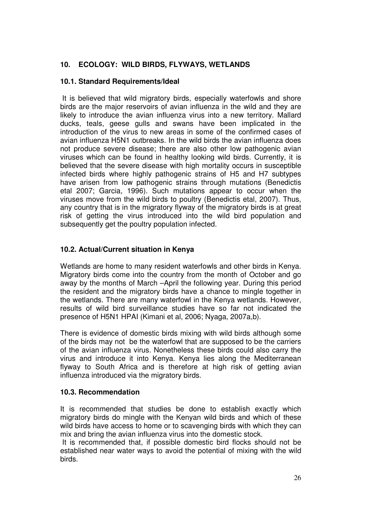# **10. ECOLOGY: WILD BIRDS, FLYWAYS, WETLANDS**

## **10.1. Standard Requirements/Ideal**

 It is believed that wild migratory birds, especially waterfowls and shore birds are the major reservoirs of avian influenza in the wild and they are likely to introduce the avian influenza virus into a new territory. Mallard ducks, teals, geese gulls and swans have been implicated in the introduction of the virus to new areas in some of the confirmed cases of avian influenza H5N1 outbreaks. In the wild birds the avian influenza does not produce severe disease; there are also other low pathogenic avian viruses which can be found in healthy looking wild birds. Currently, it is believed that the severe disease with high mortality occurs in susceptible infected birds where highly pathogenic strains of H5 and H7 subtypes have arisen from low pathogenic strains through mutations (Benedictis etal 2007; Garcia, 1996). Such mutations appear to occur when the viruses move from the wild birds to poultry (Benedictis etal, 2007). Thus, any country that is in the migratory flyway of the migratory birds is at great risk of getting the virus introduced into the wild bird population and subsequently get the poultry population infected.

# **10.2. Actual/Current situation in Kenya**

Wetlands are home to many resident waterfowls and other birds in Kenya. Migratory birds come into the country from the month of October and go away by the months of March –April the following year. During this period the resident and the migratory birds have a chance to mingle together in the wetlands. There are many waterfowl in the Kenya wetlands. However, results of wild bird surveillance studies have so far not indicated the presence of H5N1 HPAI (Kimani et al, 2006; Nyaga, 2007a,b).

There is evidence of domestic birds mixing with wild birds although some of the birds may not be the waterfowl that are supposed to be the carriers of the avian influenza virus. Nonetheless these birds could also carry the virus and introduce it into Kenya. Kenya lies along the Mediterranean flyway to South Africa and is therefore at high risk of getting avian influenza introduced via the migratory birds.

# **10.3. Recommendation**

It is recommended that studies be done to establish exactly which migratory birds do mingle with the Kenyan wild birds and which of these wild birds have access to home or to scavenging birds with which they can mix and bring the avian influenza virus into the domestic stock.

 It is recommended that, if possible domestic bird flocks should not be established near water ways to avoid the potential of mixing with the wild birds.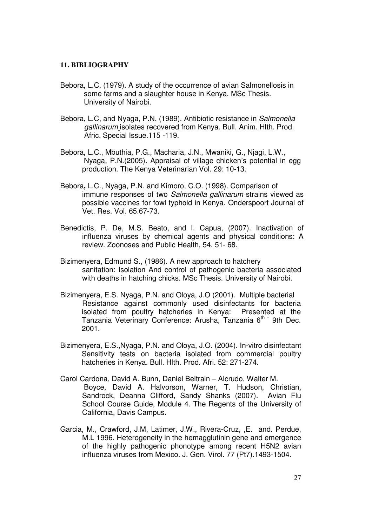#### **11. BIBLIOGRAPHY**

- Bebora, L.C. (1979). A study of the occurrence of avian Salmonellosis in some farms and a slaughter house in Kenya. MSc Thesis. University of Nairobi.
- Bebora, L.C, and Nyaga, P.N. (1989). Antibiotic resistance in Salmonella gallinarum isolates recovered from Kenya. Bull. Anim. Hlth. Prod. Afric. Special Issue.115 -119.
- Bebora, L.C., Mbuthia, P.G., Macharia, J.N., Mwaniki, G., Njagi, L.W., Nyaga, P.N.(2005). Appraisal of village chicken's potential in egg production. The Kenya Veterinarian Vol. 29: 10-13.
- Bebora**,** L.C., Nyaga, P.N. and Kimoro, C.O. (1998). Comparison of immune responses of two Salmonella gallinarum strains viewed as possible vaccines for fowl typhoid in Kenya. Onderspoort Journal of Vet. Res. Vol. 65.67-73.
- Benedictis, P. De, M.S. Beato, and I. Capua, (2007). Inactivation of influenza viruses by chemical agents and physical conditions: A review. Zoonoses and Public Health, 54. 51- 68.
- Bizimenyera, Edmund S., (1986). A new approach to hatchery sanitation: Isolation And control of pathogenic bacteria associated with deaths in hatching chicks. MSc Thesis. University of Nairobi.
- Bizimenyera, E.S. Nyaga, P.N. and Oloya, J.O (2001). Multiple bacterial Resistance against commonly used disinfectants for bacteria isolated from poultry hatcheries in Kenya: Presented at the Tanzania Veterinary Conference: Arusha, Tanzania 6<sup>th -</sup> 9th Dec. 2001.
- Bizimenyera, E.S.,Nyaga, P.N. and Oloya, J.O. (2004). In-vitro disinfectant Sensitivity tests on bacteria isolated from commercial poultry hatcheries in Kenya. Bull. Hlth. Prod. Afri. 52: 271-274.
- Carol Cardona, David A. Bunn, Daniel Beltrain Alcrudo, Walter M. Boyce, David A. Halvorson, Warner, T. Hudson, Christian, Sandrock, Deanna Clifford, Sandy Shanks (2007). Avian Flu School Course Guide, Module 4. The Regents of the University of California, Davis Campus.
- Garcia, M., Crawford, J.M, Latimer, J.W., Rivera-Cruz, ,E. and. Perdue, M.L 1996. Heterogeneity in the hemagglutinin gene and emergence of the highly pathogenic phonotype among recent H5N2 avian influenza viruses from Mexico. J. Gen. Virol. 77 (Pt7).1493-1504.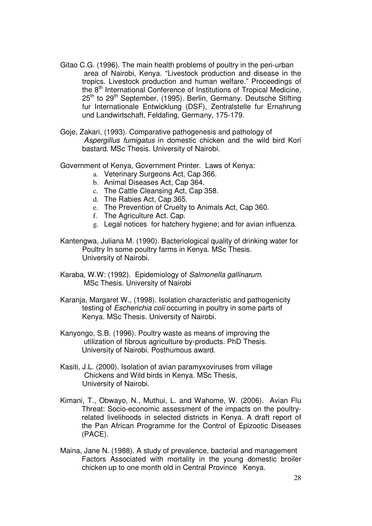- Gitao C.G. (1996). The main health problems of poultry in the peri-urban area of Nairobi, Kenya. "Livestock production and disease in the tropics. Livestock production and human welfare." Proceedings of the 8<sup>th</sup> International Conference of Institutions of Tropical Medicine, 25<sup>th</sup> to 29<sup>th</sup> September, (1995). Berlin, Germany. Deutsche Stifting fur Internationale Entwicklung (DSF), Zentralstelle fur Ernahrung und Landwirtschaft, Feldafing, Germany, 175-179.
- Goje, Zakari, (1993). Comparative pathogenesis and pathology of Aspergillus fumigatus in domestic chicken and the wild bird Kori bastard. MSc Thesis. University of Nairobi.
- Government of Kenya, Government Printer. Laws of Kenya:
	- a. Veterinary Surgeons Act, Cap 366.
	- b. Animal Diseases Act, Cap 364.
	- c. The Cattle Cleansing Act, Cap 358.
	- d. The Rabies Act, Cap 365.
	- e. The Prevention of Cruelty to Animals Act, Cap 360.
	- f. The Agriculture Act. Cap.
	- g. Legal notices for hatchery hygiene; and for avian influenza.
- Kantengwa, Juliana M. (1990). Bacteriological quality of drinking water for Poultry In some poultry farms in Kenya. MSc Thesis. University of Nairobi.
- Karaba, W.W: (1992). Epidemiology of Salmonella gallinarum. MSc Thesis. University of Nairobi
- Karanja, Margaret W., (1998). Isolation characteristic and pathogenicity testing of Escherichia coli occurring in poultry in some parts of Kenya. MSc Thesis. University of Nairobi.
- Kanyongo, S.B. (1996). Poultry waste as means of improving the utilization of fibrous agriculture by-products. PhD Thesis. University of Nairobi. Posthumous award.
- Kasiti, J.L. (2000). Isolation of avian paramyxoviruses from village Chickens and Wild birds in Kenya. MSc Thesis, University of Nairobi.
- Kimani, T., Obwayo, N., Muthui, L. and Wahome, W. (2006). Avian Flu Threat: Socio-economic assessment of the impacts on the poultryrelated livelihoods in selected districts in Kenya. A draft report of the Pan African Programme for the Control of Epizootic Diseases (PACE).
- Maina, Jane N. (1988). A study of prevalence, bacterial and management Factors Associated with mortality in the young domestic broiler chicken up to one month old in Central Province Kenya.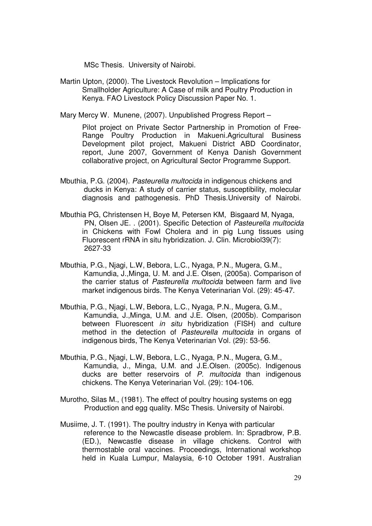MSc Thesis. University of Nairobi.

Martin Upton, (2000). The Livestock Revolution – Implications for Smallholder Agriculture: A Case of milk and Poultry Production in Kenya. FAO Livestock Policy Discussion Paper No. 1.

Mary Mercy W. Munene, (2007). Unpublished Progress Report –

Pilot project on Private Sector Partnership in Promotion of Free-Range Poultry Production in Makueni.Agricultural Business Development pilot project, Makueni District ABD Coordinator, report, June 2007, Government of Kenya Danish Government collaborative project, on Agricultural Sector Programme Support.

- Mbuthia, P.G. (2004). Pasteurella multocida in indigenous chickens and ducks in Kenya: A study of carrier status, susceptibility, molecular diagnosis and pathogenesis. PhD Thesis.University of Nairobi.
- Mbuthia PG, Christensen H, Boye M, Petersen KM, Bisgaard M, Nyaga, PN, Olsen JE. . (2001). Specific Detection of Pasteurella multocida in Chickens with Fowl Cholera and in pig Lung tissues using Fluorescent rRNA in situ hybridization. J. Clin. Microbiol39(7): 2627-33
- Mbuthia, P.G., Njagi, L.W, Bebora, L.C., Nyaga, P.N., Mugera, G.M., Kamundia, J.,Minga, U. M. and J.E. Olsen, (2005a). Comparison of the carrier status of Pasteurella multocida between farm and live market indigenous birds. The Kenya Veterinarian Vol. (29): 45-47.
- Mbuthia, P.G., Njagi, L.W, Bebora, L.C., Nyaga, P.N., Mugera, G.M., Kamundia, J.,Minga, U.M. and J.E. Olsen, (2005b). Comparison between Fluorescent in situ hybridization (FISH) and culture method in the detection of Pasteurella multocida in organs of indigenous birds, The Kenya Veterinarian Vol. (29): 53-56.
- Mbuthia, P.G., Njagi, L.W, Bebora, L.C., Nyaga, P.N., Mugera, G.M., Kamundia, J., Minga, U.M. and J.E.Olsen. (2005c). Indigenous ducks are better reservoirs of P. multocida than indigenous chickens. The Kenya Veterinarian Vol. (29): 104-106.
- Murotho, Silas M., (1981). The effect of poultry housing systems on egg Production and egg quality. MSc Thesis. University of Nairobi.
- Musiime, J. T. (1991). The poultry industry in Kenya with particular reference to the Newcastle disease problem. In: Spradbrow, P.B. (ED.), Newcastle disease in village chickens. Control with thermostable oral vaccines. Proceedings, International workshop held in Kuala Lumpur, Malaysia, 6-10 October 1991. Australian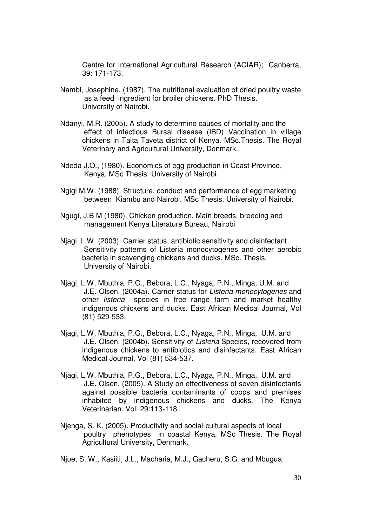Centre for International Agricultural Research (ACIAR); Canberra, 39: 171-173.

- Nambi, Josephine, (1987). The nutritional evaluation of dried poultry waste as a feed ingredient for broiler chickens. PhD Thesis. University of Nairobi.
- Ndanyi, M.R. (2005). A study to determine causes of mortality and the effect of infectious Bursal disease (IBD) Vaccination in village chickens in Taita Taveta district of Kenya. MSc.Thesis. The Royal Veterinary and Agricultural University, Denmark.
- Ndeda J.O., (1980). Economics of egg production in Coast Province, Kenya. MSc Thesis. University of Nairobi.
- Ngigi M.W. (1988). Structure, conduct and performance of egg marketing between Kiambu and Nairobi. MSc Thesis. University of Nairobi.
- Ngugi, J.B M (1980). Chicken production. Main breeds, breeding and management Kenya Literature Bureau, Nairobi
- Njagi, L.W. (2003). Carrier status, antibiotic sensitivity and disinfectant Sensitivity patterns of Listeria monocytogenes and other aerobic bacteria in scavenging chickens and ducks. MSc. Thesis. University of Nairobi.
- Njagi, L.W, Mbuthia, P.G., Bebora, L.C., Nyaga, P.N., Minga, U.M. and J.E. Olsen, (2004a). Carrier status for Listeria monocytogenes and other listeria species in free range farm and market healthy indigenous chickens and ducks. East African Medical Journal, Vol (81) 529-533.
- Njagi, L.W, Mbuthia, P.G., Bebora, L.C., Nyaga, P.N., Minga, U.M. and J.E. Olsen, (2004b). Sensitivity of Listeria Species, recovered from indigenous chickens to antibiotics and disinfectants. East African Medical Journal, Vol (81) 534-537.
- Njagi, L.W, Mbuthia, P.G., Bebora, L.C., Nyaga, P.N., Minga, U.M. and J.E. Olsen. (2005). A Study on effectiveness of seven disinfectants against possible bacteria contaminants of coops and premises inhabited by indigenous chickens and ducks. The Kenya Veterinarian. Vol. 29:113-118.
- Njenga, S. K. (2005). Productivity and social-cultural aspects of local poultry phenotypes in coastal Kenya. MSc Thesis. The Royal Agricultural University, Denmark.

Njue, S. W., Kasiiti, J.L., Macharia, M.J., Gacheru, S.G. and Mbugua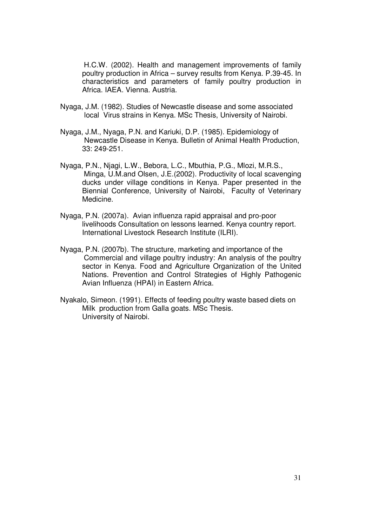H.C.W. (2002). Health and management improvements of family poultry production in Africa – survey results from Kenya. P.39-45. In characteristics and parameters of family poultry production in Africa. IAEA. Vienna. Austria.

- Nyaga, J.M. (1982). Studies of Newcastle disease and some associated local Virus strains in Kenya. MSc Thesis, University of Nairobi.
- Nyaga, J.M., Nyaga, P.N. and Kariuki, D.P. (1985). Epidemiology of Newcastle Disease in Kenya. Bulletin of Animal Health Production, 33: 249-251.
- Nyaga, P.N., Njagi, L.W., Bebora, L.C., Mbuthia, P.G., Mlozi, M.R.S., Minga, U.M.and Olsen, J.E.(2002). Productivity of local scavenging ducks under village conditions in Kenya. Paper presented in the Biennial Conference, University of Nairobi, Faculty of Veterinary Medicine.
- Nyaga, P.N. (2007a). Avian influenza rapid appraisal and pro-poor livelihoods Consultation on lessons learned. Kenya country report. International Livestock Research Institute (ILRI).
- Nyaga, P.N. (2007b). The structure, marketing and importance of the Commercial and village poultry industry: An analysis of the poultry sector in Kenya. Food and Agriculture Organization of the United Nations. Prevention and Control Strategies of Highly Pathogenic Avian Influenza (HPAI) in Eastern Africa.
- Nyakalo, Simeon. (1991). Effects of feeding poultry waste based diets on Milk production from Galla goats. MSc Thesis. University of Nairobi.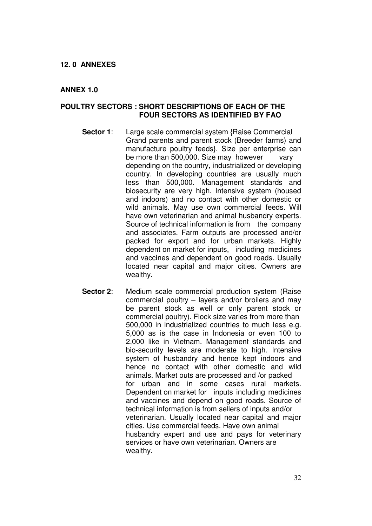#### **12. 0 ANNEXES**

#### **ANNEX 1.0**

### **POULTRY SECTORS : SHORT DESCRIPTIONS OF EACH OF THE FOUR SECTORS AS IDENTIFIED BY FAO**

- **Sector 1:** Large scale commercial system {Raise Commercial Grand parents and parent stock (Breeder farms) and manufacture poultry feeds}. Size per enterprise can be more than 500,000. Size may however vary depending on the country, industrialized or developing country. In developing countries are usually much less than 500,000. Management standards and biosecurity are very high. Intensive system (housed and indoors) and no contact with other domestic or wild animals. May use own commercial feeds. Will have own veterinarian and animal husbandry experts. Source of technical information is from the company and associates. Farm outputs are processed and/or packed for export and for urban markets. Highly dependent on market for inputs, including medicines and vaccines and dependent on good roads. Usually located near capital and major cities. Owners are wealthy.
- **Sector 2:** Medium scale commercial production system (Raise) commercial poultry – layers and/or broilers and may be parent stock as well or only parent stock or commercial poultry). Flock size varies from more than 500,000 in industrialized countries to much less e.g. 5,000 as is the case in Indonesia or even 100 to 2,000 like in Vietnam. Management standards and bio-security levels are moderate to high. Intensive system of husbandry and hence kept indoors and hence no contact with other domestic and wild animals. Market outs are processed and /or packed for urban and in some cases rural markets. Dependent on market for inputs including medicines and vaccines and depend on good roads. Source of technical information is from sellers of inputs and/or veterinarian. Usually located near capital and major cities. Use commercial feeds. Have own animal husbandry expert and use and pays for veterinary services or have own veterinarian. Owners are wealthy.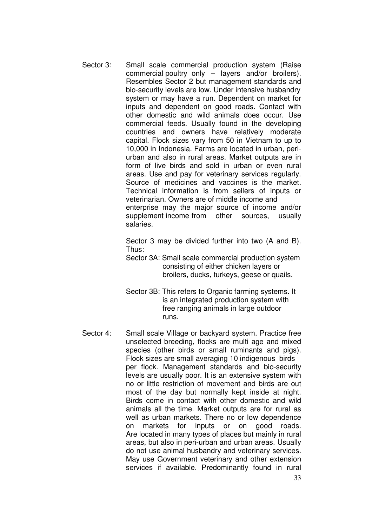Sector 3: Small scale commercial production system (Raise commercial poultry only – layers and/or broilers). Resembles Sector 2 but management standards and bio-security levels are low. Under intensive husbandry system or may have a run. Dependent on market for inputs and dependent on good roads. Contact with other domestic and wild animals does occur. Use commercial feeds. Usually found in the developing countries and owners have relatively moderate capital. Flock sizes vary from 50 in Vietnam to up to 10,000 in Indonesia. Farms are located in urban, periurban and also in rural areas. Market outputs are in form of live birds and sold in urban or even rural areas. Use and pay for veterinary services regularly. Source of medicines and vaccines is the market. Technical information is from sellers of inputs or veterinarian. Owners are of middle income and enterprise may the major source of income and/or supplement income from other sources, usually salaries.

> Sector 3 may be divided further into two (A and B). Thus:

> Sector 3A: Small scale commercial production system consisting of either chicken layers or broilers, ducks, turkeys, geese or quails.

- Sector 3B: This refers to Organic farming systems. It is an integrated production system with free ranging animals in large outdoor runs.
- Sector 4: Small scale Village or backyard system. Practice free unselected breeding, flocks are multi age and mixed species (other birds or small ruminants and pigs). Flock sizes are small averaging 10 indigenous birds per flock. Management standards and bio-security levels are usually poor. It is an extensive system with no or little restriction of movement and birds are out most of the day but normally kept inside at night. Birds come in contact with other domestic and wild animals all the time. Market outputs are for rural as well as urban markets. There no or low dependence on markets for inputs or on good roads. Are located in many types of places but mainly in rural areas, but also in peri-urban and urban areas. Usually do not use animal husbandry and veterinary services. May use Government veterinary and other extension services if available. Predominantly found in rural